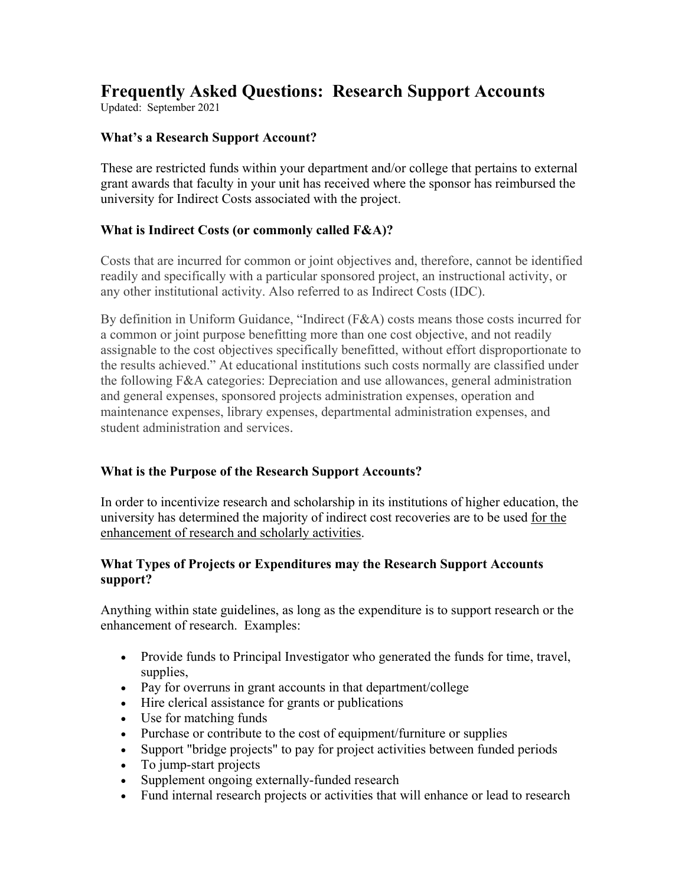# **Frequently Asked Questions: Research Support Accounts**

Updated: September 2021

# **What's a Research Support Account?**

These are restricted funds within your department and/or college that pertains to external grant awards that faculty in your unit has received where the sponsor has reimbursed the university for Indirect Costs associated with the project.

# **What is Indirect Costs (or commonly called F&A)?**

Costs that are incurred for common or joint objectives and, therefore, cannot be identified readily and specifically with a particular sponsored project, an instructional activity, or any other institutional activity. Also referred to as Indirect Costs (IDC).

By definition in Uniform Guidance, "Indirect (F&A) costs means those costs incurred for a common or joint purpose benefitting more than one cost objective, and not readily assignable to the cost objectives specifically benefitted, without effort disproportionate to the results achieved." At educational institutions such costs normally are classified under the following F&A categories: Depreciation and use allowances, general administration and general expenses, sponsored projects administration expenses, operation and maintenance expenses, library expenses, departmental administration expenses, and student administration and services.

## **What is the Purpose of the Research Support Accounts?**

In order to incentivize research and scholarship in its institutions of higher education, the university has determined the majority of indirect cost recoveries are to be used for the enhancement of research and scholarly activities.

## **What Types of Projects or Expenditures may the Research Support Accounts support?**

Anything within state guidelines, as long as the expenditure is to support research or the enhancement of research. Examples:

- Provide funds to Principal Investigator who generated the funds for time, travel, supplies,
- Pay for overruns in grant accounts in that department/college
- Hire clerical assistance for grants or publications
- Use for matching funds
- Purchase or contribute to the cost of equipment/furniture or supplies
- Support "bridge projects" to pay for project activities between funded periods
- To jump-start projects
- Supplement ongoing externally-funded research
- Fund internal research projects or activities that will enhance or lead to research